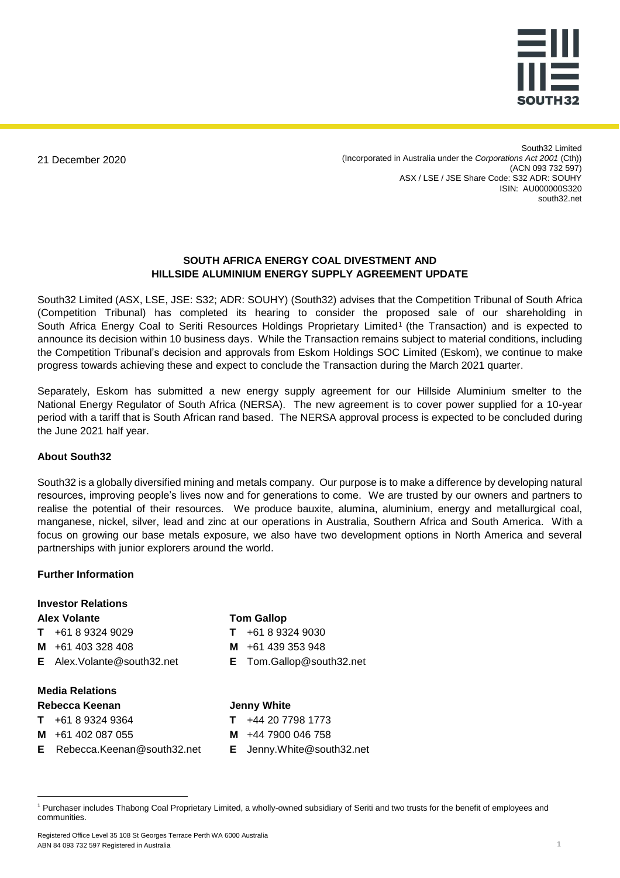

21 December 2020

South32 Limited (Incorporated in Australia under the *Corporations Act 2001* (Cth)) (ACN 093 732 597) ASX / LSE / JSE Share Code: S32 ADR: SOUHY ISIN: AU000000S320 south32.net

## **SOUTH AFRICA ENERGY COAL DIVESTMENT AND HILLSIDE ALUMINIUM ENERGY SUPPLY AGREEMENT UPDATE**

South32 Limited (ASX, LSE, JSE: S32; ADR: SOUHY) (South32) advises that the Competition Tribunal of South Africa (Competition Tribunal) has completed its hearing to consider the proposed sale of our shareholding in South Africa Energy Coal to Seriti Resources Holdings Proprietary Limited<sup>1</sup> (the Transaction) and is expected to announce its decision within 10 business days. While the Transaction remains subject to material conditions, including the Competition Tribunal's decision and approvals from Eskom Holdings SOC Limited (Eskom), we continue to make progress towards achieving these and expect to conclude the Transaction during the March 2021 quarter.

Separately, Eskom has submitted a new energy supply agreement for our Hillside Aluminium smelter to the National Energy Regulator of South Africa (NERSA). The new agreement is to cover power supplied for a 10-year period with a tariff that is South African rand based. The NERSA approval process is expected to be concluded during the June 2021 half year.

## **About South32**

South32 is a globally diversified mining and metals company. Our purpose is to make a difference by developing natural resources, improving people's lives now and for generations to come. We are trusted by our owners and partners to realise the potential of their resources. We produce bauxite, alumina, aluminium, energy and metallurgical coal, manganese, nickel, silver, lead and zinc at our operations in Australia, Southern Africa and South America. With a focus on growing our base metals exposure, we also have two development options in North America and several partnerships with junior explorers around the world.

## **Further Information**

| <b>Investor Relations</b>             |                                 |
|---------------------------------------|---------------------------------|
| <b>Alex Volante</b>                   | <b>Tom Gallop</b>               |
| +61 8 9324 9029                       | +61 8 9324 9030                 |
| M $+61403328408$                      | M $+61439353948$                |
| <b>E</b> Alex. Volante @south 32. net | <b>E</b> Tom.Gallop@south32.net |
| <b>Media Relations</b>                |                                 |
| Rebecca Keenan                        | <b>Jenny White</b>              |
| +61 8 9324 9364                       | +44 20 7798 1773                |
| +61 402 087 055<br>м                  | +44 7900 046 758<br>м           |

 $\overline{a}$ 

- **M** +44 7900 046 758
- **E** Jenny.White@south32.net

Registered Office Level 35 108 St Georges Terrace Perth WA 6000 Australia ABN 84 093 732 597 Registered in Australia 1

**E** Rebecca.Keenan@south32.net

<sup>1</sup> Purchaser includes Thabong Coal Proprietary Limited, a wholly-owned subsidiary of Seriti and two trusts for the benefit of employees and communities.